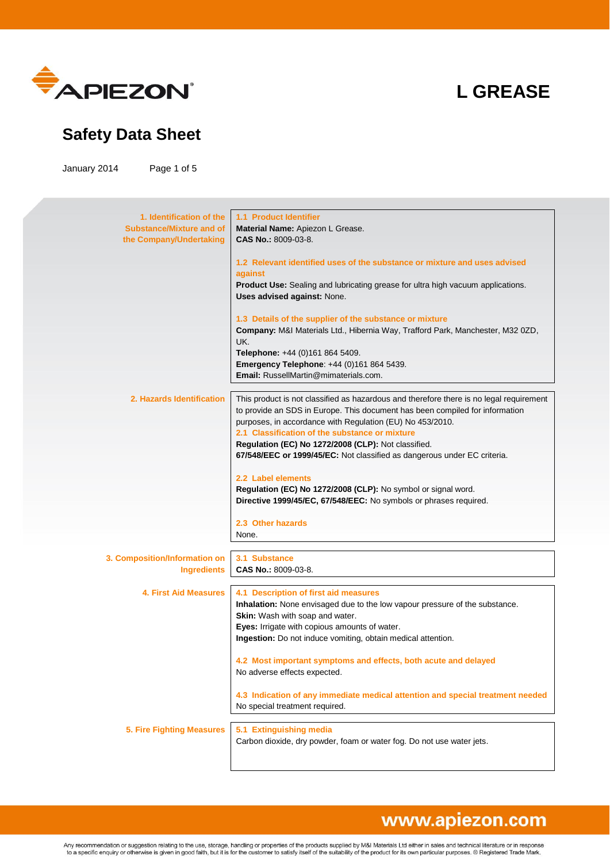

### **Safety Data Sheet**

January 2014 Page 1 of 5

| 1. Identification of the         | <b>1.1 Product Identifier</b>                                                           |
|----------------------------------|-----------------------------------------------------------------------------------------|
| <b>Substance/Mixture and of</b>  | Material Name: Apiezon L Grease.                                                        |
| the Company/Undertaking          | CAS No.: 8009-03-8.                                                                     |
|                                  | 1.2 Relevant identified uses of the substance or mixture and uses advised               |
|                                  | against                                                                                 |
|                                  | Product Use: Sealing and lubricating grease for ultra high vacuum applications.         |
|                                  | Uses advised against: None.                                                             |
|                                  | 1.3 Details of the supplier of the substance or mixture                                 |
|                                  | Company: M&I Materials Ltd., Hibernia Way, Trafford Park, Manchester, M32 0ZD,<br>UK.   |
|                                  | Telephone: +44 (0)161 864 5409.                                                         |
|                                  | Emergency Telephone: +44 (0)161 864 5439.                                               |
|                                  | <b>Email:</b> RussellMartin@mimaterials.com.                                            |
|                                  |                                                                                         |
| 2. Hazards Identification        | This product is not classified as hazardous and therefore there is no legal requirement |
|                                  | to provide an SDS in Europe. This document has been compiled for information            |
|                                  | purposes, in accordance with Regulation (EU) No 453/2010.                               |
|                                  | 2.1 Classification of the substance or mixture                                          |
|                                  | Regulation (EC) No 1272/2008 (CLP): Not classified.                                     |
|                                  | 67/548/EEC or 1999/45/EC: Not classified as dangerous under EC criteria.                |
|                                  | 2.2 Label elements                                                                      |
|                                  | Regulation (EC) No 1272/2008 (CLP): No symbol or signal word.                           |
|                                  | Directive 1999/45/EC, 67/548/EEC: No symbols or phrases required.                       |
|                                  |                                                                                         |
|                                  | 2.3 Other hazards<br>None.                                                              |
|                                  |                                                                                         |
| 3. Composition/Information on    | 3.1 Substance                                                                           |
| <b>Ingredients</b>               | CAS No.: 8009-03-8.                                                                     |
|                                  |                                                                                         |
| <b>4. First Aid Measures</b>     | 4.1 Description of first aid measures                                                   |
|                                  | Inhalation: None envisaged due to the low vapour pressure of the substance.             |
|                                  | Skin: Wash with soap and water.                                                         |
|                                  | Eyes: Irrigate with copious amounts of water.                                           |
|                                  | <b>Ingestion:</b> Do not induce vomiting, obtain medical attention.                     |
|                                  | 4.2 Most important symptoms and effects, both acute and delayed                         |
|                                  | No adverse effects expected.                                                            |
|                                  |                                                                                         |
|                                  | 4.3 Indication of any immediate medical attention and special treatment needed          |
|                                  | No special treatment required.                                                          |
|                                  |                                                                                         |
| <b>5. Fire Fighting Measures</b> | 5.1 Extinguishing media                                                                 |
|                                  | Carbon dioxide, dry powder, foam or water fog. Do not use water jets.                   |
|                                  |                                                                                         |
|                                  |                                                                                         |

# www.apiezon.com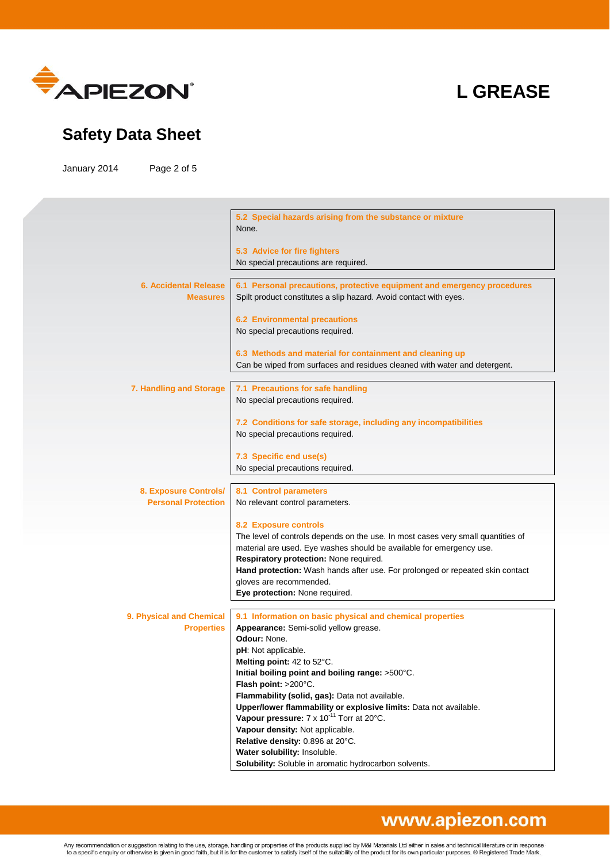

### **Safety Data Sheet**

January 2014 Page 2 of 5

|                                                 | 5.2 Special hazards arising from the substance or mixture<br>None.                                                                           |
|-------------------------------------------------|----------------------------------------------------------------------------------------------------------------------------------------------|
|                                                 | 5.3 Advice for fire fighters<br>No special precautions are required.                                                                         |
|                                                 |                                                                                                                                              |
| <b>6. Accidental Release</b><br><b>Measures</b> | 6.1 Personal precautions, protective equipment and emergency procedures<br>Spilt product constitutes a slip hazard. Avoid contact with eyes. |
|                                                 | <b>6.2 Environmental precautions</b>                                                                                                         |
|                                                 | No special precautions required.                                                                                                             |
|                                                 |                                                                                                                                              |
|                                                 | 6.3 Methods and material for containment and cleaning up                                                                                     |
|                                                 | Can be wiped from surfaces and residues cleaned with water and detergent.                                                                    |
| 7. Handling and Storage                         |                                                                                                                                              |
|                                                 | 7.1 Precautions for safe handling<br>No special precautions required.                                                                        |
|                                                 |                                                                                                                                              |
|                                                 | 7.2 Conditions for safe storage, including any incompatibilities                                                                             |
|                                                 | No special precautions required.                                                                                                             |
|                                                 |                                                                                                                                              |
|                                                 | 7.3 Specific end use(s)                                                                                                                      |
|                                                 | No special precautions required.                                                                                                             |
|                                                 |                                                                                                                                              |
| 8. Exposure Controls/                           | <b>8.1 Control parameters</b>                                                                                                                |
| <b>Personal Protection</b>                      | No relevant control parameters.                                                                                                              |
|                                                 |                                                                                                                                              |
|                                                 | <b>8.2 Exposure controls</b>                                                                                                                 |
|                                                 | The level of controls depends on the use. In most cases very small quantities of                                                             |
|                                                 | material are used. Eye washes should be available for emergency use.                                                                         |
|                                                 | Respiratory protection: None required.                                                                                                       |
|                                                 | Hand protection: Wash hands after use. For prolonged or repeated skin contact                                                                |
|                                                 | gloves are recommended.                                                                                                                      |
|                                                 | Eye protection: None required.                                                                                                               |
| 9. Physical and Chemical                        | 9.1 Information on basic physical and chemical properties                                                                                    |
| <b>Properties</b>                               | Appearance: Semi-solid yellow grease.                                                                                                        |
|                                                 | Odour: None.                                                                                                                                 |
|                                                 | pH: Not applicable.                                                                                                                          |
|                                                 | <b>Melting point:</b> 42 to $52^{\circ}$ C.                                                                                                  |
|                                                 | Initial boiling point and boiling range: >500°C.                                                                                             |
|                                                 | Flash point: >200°C.                                                                                                                         |
|                                                 | Flammability (solid, gas): Data not available.                                                                                               |
|                                                 | Upper/lower flammability or explosive limits: Data not available.                                                                            |
|                                                 | Vapour pressure: 7 x 10 <sup>-11</sup> Torr at 20°C.                                                                                         |
|                                                 | Vapour density: Not applicable.                                                                                                              |
|                                                 | Relative density: 0.896 at 20°C.                                                                                                             |
|                                                 | Water solubility: Insoluble.                                                                                                                 |
|                                                 | Solubility: Soluble in aromatic hydrocarbon solvents.                                                                                        |

### www.apiezon.com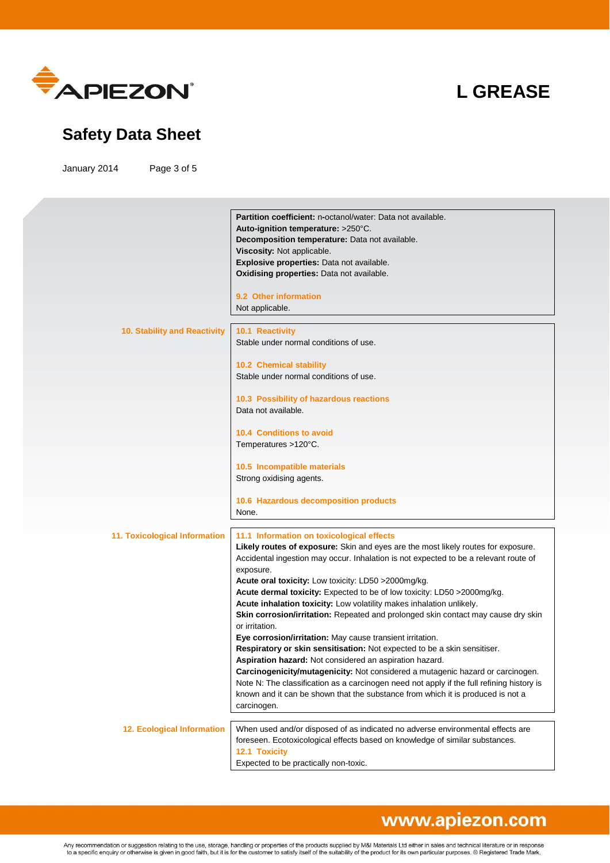

### **Safety Data Sheet**

January 2014 Page 3 of 5

|                                   | Partition coefficient: n-octanol/water: Data not available.                               |
|-----------------------------------|-------------------------------------------------------------------------------------------|
|                                   | Auto-ignition temperature: >250°C.                                                        |
|                                   | Decomposition temperature: Data not available.                                            |
|                                   | Viscosity: Not applicable.                                                                |
|                                   | Explosive properties: Data not available.                                                 |
|                                   | Oxidising properties: Data not available.                                                 |
|                                   | 9.2 Other information                                                                     |
|                                   | Not applicable.                                                                           |
|                                   |                                                                                           |
| 10. Stability and Reactivity      | 10.1 Reactivity                                                                           |
|                                   | Stable under normal conditions of use.                                                    |
|                                   |                                                                                           |
|                                   | 10.2 Chemical stability                                                                   |
|                                   | Stable under normal conditions of use.                                                    |
|                                   | 10.3 Possibility of hazardous reactions                                                   |
|                                   | Data not available.                                                                       |
|                                   |                                                                                           |
|                                   | <b>10.4 Conditions to avoid</b>                                                           |
|                                   | Temperatures >120°C.                                                                      |
|                                   |                                                                                           |
|                                   | 10.5 Incompatible materials                                                               |
|                                   | Strong oxidising agents.                                                                  |
|                                   |                                                                                           |
|                                   | 10.6 Hazardous decomposition products                                                     |
|                                   | None.                                                                                     |
| 11. Toxicological Information     | 11.1 Information on toxicological effects                                                 |
|                                   | Likely routes of exposure: Skin and eyes are the most likely routes for exposure.         |
|                                   | Accidental ingestion may occur. Inhalation is not expected to be a relevant route of      |
|                                   | exposure.                                                                                 |
|                                   | Acute oral toxicity: Low toxicity: LD50 >2000mg/kg.                                       |
|                                   | Acute dermal toxicity: Expected to be of low toxicity: LD50 >2000mg/kg.                   |
|                                   | Acute inhalation toxicity: Low volatility makes inhalation unlikely.                      |
|                                   | Skin corrosion/irritation: Repeated and prolonged skin contact may cause dry skin         |
|                                   | or irritation.                                                                            |
|                                   | Eye corrosion/irritation: May cause transient irritation.                                 |
|                                   | Respiratory or skin sensitisation: Not expected to be a skin sensitiser.                  |
|                                   | Aspiration hazard: Not considered an aspiration hazard.                                   |
|                                   | Carcinogenicity/mutagenicity: Not considered a mutagenic hazard or carcinogen.            |
|                                   | Note N: The classification as a carcinogen need not apply if the full refining history is |
|                                   | known and it can be shown that the substance from which it is produced is not a           |
|                                   | carcinogen.                                                                               |
| <b>12. Ecological Information</b> | When used and/or disposed of as indicated no adverse environmental effects are            |
|                                   | foreseen. Ecotoxicological effects based on knowledge of similar substances.              |
|                                   | 12.1 Toxicity                                                                             |
|                                   | Expected to be practically non-toxic.                                                     |
|                                   |                                                                                           |

### www.apiezon.com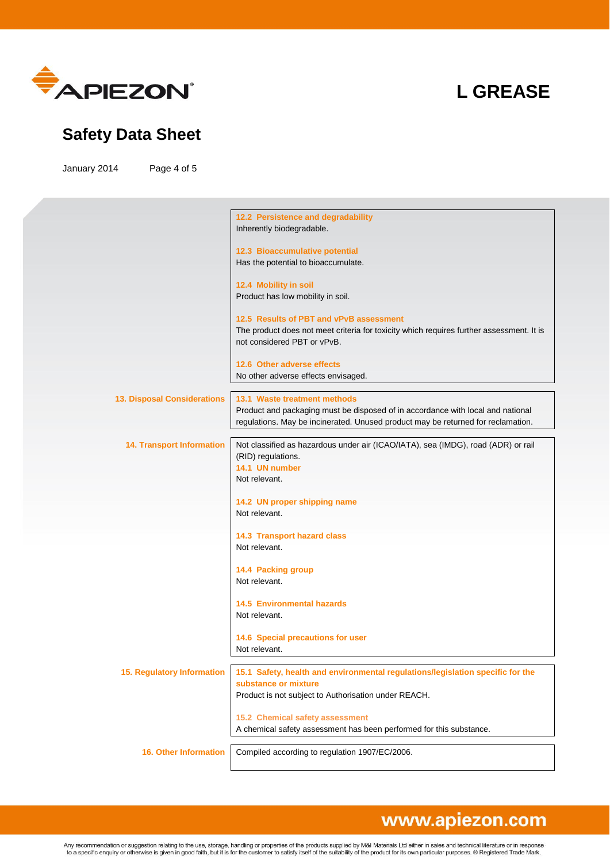

### **Safety Data Sheet**

January 2014 Page 4 of 5

|                                    | 12.2 Persistence and degradability<br>Inherently biodegradable.                                                                                                                                     |
|------------------------------------|-----------------------------------------------------------------------------------------------------------------------------------------------------------------------------------------------------|
|                                    | 12.3 Bioaccumulative potential<br>Has the potential to bioaccumulate.                                                                                                                               |
|                                    | 12.4 Mobility in soil<br>Product has low mobility in soil.                                                                                                                                          |
|                                    | 12.5 Results of PBT and vPvB assessment                                                                                                                                                             |
|                                    | The product does not meet criteria for toxicity which requires further assessment. It is<br>not considered PBT or vPvB.                                                                             |
|                                    | 12.6 Other adverse effects<br>No other adverse effects envisaged.                                                                                                                                   |
|                                    |                                                                                                                                                                                                     |
| <b>13. Disposal Considerations</b> | 13.1 Waste treatment methods<br>Product and packaging must be disposed of in accordance with local and national<br>regulations. May be incinerated. Unused product may be returned for reclamation. |
| <b>14. Transport Information</b>   | Not classified as hazardous under air (ICAO/IATA), sea (IMDG), road (ADR) or rail<br>(RID) regulations.                                                                                             |
|                                    | 14.1 UN number<br>Not relevant.                                                                                                                                                                     |
|                                    | 14.2 UN proper shipping name<br>Not relevant.                                                                                                                                                       |
|                                    | 14.3 Transport hazard class<br>Not relevant.                                                                                                                                                        |
|                                    | 14.4 Packing group<br>Not relevant.                                                                                                                                                                 |
|                                    | <b>14.5 Environmental hazards</b><br>Not relevant.                                                                                                                                                  |
|                                    | 14.6 Special precautions for user                                                                                                                                                                   |
|                                    | Not relevant.                                                                                                                                                                                       |
| <b>15. Regulatory Information</b>  | 15.1 Safety, health and environmental regulations/legislation specific for the<br>substance or mixture                                                                                              |
|                                    | Product is not subject to Authorisation under REACH.                                                                                                                                                |
|                                    | 15.2 Chemical safety assessment<br>A chemical safety assessment has been performed for this substance.                                                                                              |
| <b>16. Other Information</b>       | Compiled according to regulation 1907/EC/2006.                                                                                                                                                      |

# www.apiezon.com